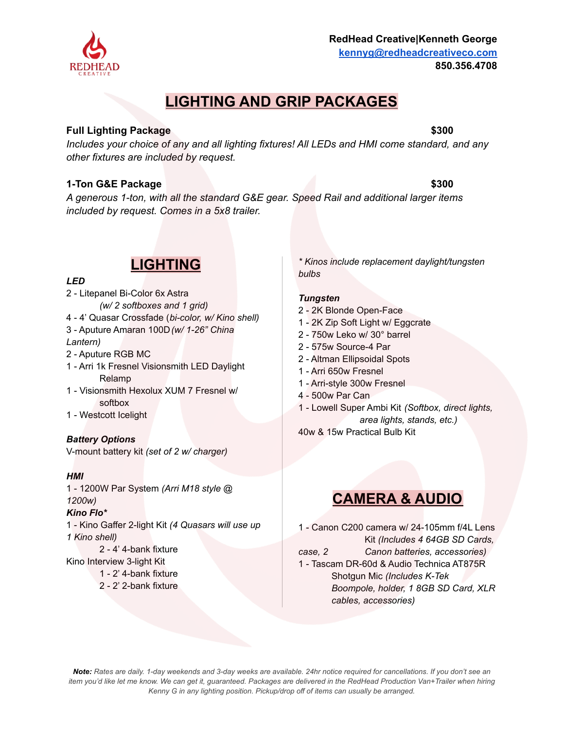# **LIGHTING AND GRIP PACKAGES**

# **Full Lighting Package \$300**

*Includes your choice of any and all lighting fixtures! All LEDs and HMI come standard, and any other fixtures are included by request.*

# **1-Ton G&E Package \$300**

*A generous 1-ton, with all the standard G&E gear. Speed Rail and additional larger items included by request. Comes in a 5x8 trailer.*

# **LIGHTING**

# *LED*

2 - Litepanel Bi-Color 6x Astra *(w/ 2 softboxes and 1 grid)* 4 - 4' Quasar Crossfade (*bi-color, w/ Kino shell)* 3 - Aputure Amaran 100D*(w/ 1-26" China Lantern)* 2 - Aputure RGB MC 1 - Arri 1k Fresnel Visionsmith LED Daylight Relamp

- 1 Visionsmith Hexolux XUM 7 Fresnel w/ softbox
- 1 Westcott Icelight

# *Battery Options*

V-mount battery kit *(set of 2 w/ charger)*

# *HMI*

1 - 1200W Par System *(Arri M18 style @ 1200w)*

### *Kino Flo\**

1 - Kino Gaffer 2-light Kit *(4 Quasars will use up 1 Kino shell)*

2 - 4' 4-bank fixture Kino Interview 3-light Kit

1 - 2' 4-bank fixture 2 - 2' 2-bank fixture

*\* Kinos include replacement daylight/tungsten bulbs*

### *Tungsten*

- 2 2K Blonde Open-Face
- 1 2K Zip Soft Light w/ Eggcrate
- 2 750w Leko w/ 30° barrel
- 2 575w Source-4 Par
- 2 Altman Ellipsoidal Spots
- 1 Arri 650w Fresnel
- 1 Arri-style 300w Fresnel
- 4 500w Par Can
- 1 Lowell Super Ambi Kit *(Softbox, direct lights, area lights, stands, etc.)*

40w & 15w Practical Bulb Kit

# **CAMERA & AUDIO**

1 - Canon C200 camera w/ 24-105mm f/4L Lens Kit *(Includes 4 64GB SD Cards, case, 2 Canon batteries, accessories)* 1 - Tascam DR-60d & Audio Technica AT875R

Shotgun Mic *(Includes K-Tek Boompole, holder, 1 8GB SD Card, XLR cables, accessories)*

*Note: Rates are daily. 1-day weekends and 3-day weeks are available. 24hr notice required for cancellations. If you don't see an item you'd like let me know. We can get it, guaranteed. Packages are delivered in the RedHead Production Van+Trailer when hiring Kenny G in any lighting position. Pickup/drop off of items can usually be arranged.*



### **RedHead Creative|Kenneth George kennyg@redheadcreativeco.com 850.356.4708**